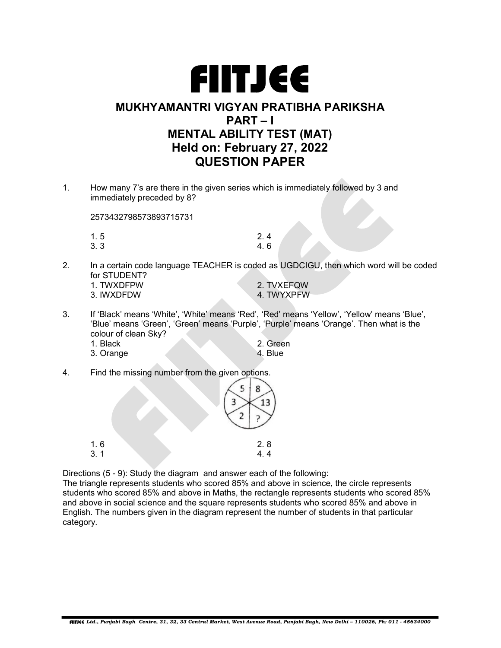

## MUKHYAMANTRI VIGYAN PRATIBHA PARIKSHA PART – I MENTAL ABILITY TEST (MAT) Held on: February 27, 2022 QUESTION PAPER

1. How many 7's are there in the given series which is immediately followed by 3 and immediately preceded by 8?

2573432798573893715731

| 1.5 | 2.4 |
|-----|-----|
| 3.3 | 4.6 |

2. In a certain code language TEACHER is coded as UGDCIGU, then which word will be coded for STUDENT?

| 1 TWXDFPW  | 2. TVXEFQW |
|------------|------------|
| 3. IWXDFDW | 4 TWYXPFW  |

- 3. If 'Black' means 'White', 'White' means 'Red', 'Red' means 'Yellow', 'Yellow' means 'Blue', 'Blue' means 'Green', 'Green' means 'Purple', 'Purple' means 'Orange'. Then what is the colour of clean Sky?
	- 1. Black 2. Green<br>3. Orange 4. Blue 4. Blue 4. Blue 3. Orange
- 4. Find the missing number from the given options.

| $\frac{1}{3}$ . 1 |  | $2.8$<br>$4.4$ |
|-------------------|--|----------------|

Directions (5 - 9): Study the diagram and answer each of the following:

The triangle represents students who scored 85% and above in science, the circle represents students who scored 85% and above in Maths, the rectangle represents students who scored 85% and above in social science and the square represents students who scored 85% and above in English. The numbers given in the diagram represent the number of students in that particular category.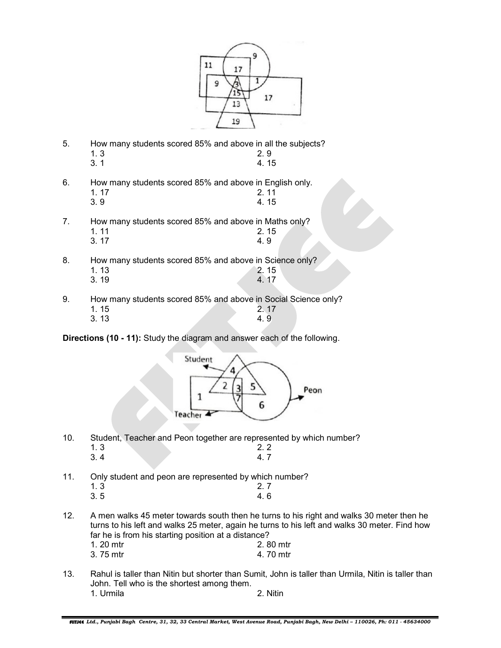

- 5. How many students scored 85% and above in all the subjects?  $1.3$  2.9
- $3.1$  4. 15
- 6. How many students scored 85% and above in English only.
- 1. 17 2. 11  $3.9$  4.15
- 7. How many students scored 85% and above in Maths only?
- 1. 11 2. 15 3. 17 4. 9
- 8. How many students scored 85% and above in Science only?
- 1. 13 2. 15 3. 19 4. 17
- 9. How many students scored 85% and above in Social Science only? **1. 15** 2. 17
- $3.13$   $4.9$

Directions (10 - 11): Study the diagram and answer each of the following.



- 10. Student, Teacher and Peon together are represented by which number?  $1.3$  2. 2  $3.4$  4. 7
- 11. Only student and peon are represented by which number?
- 1. 3 2. 7  $3.5$  4. 6
- 12. A men walks 45 meter towards south then he turns to his right and walks 30 meter then he turns to his left and walks 25 meter, again he turns to his left and walks 30 meter. Find how far he is from his starting position at a distance?
	- 1. 20 mtr<br>3. 75 mtr<br>3. 75 mtr 3. 75 mtr
- 13. Rahul is taller than Nitin but shorter than Sumit, John is taller than Urmila, Nitin is taller than John. Tell who is the shortest among them. 1. Urmila 2. Nitin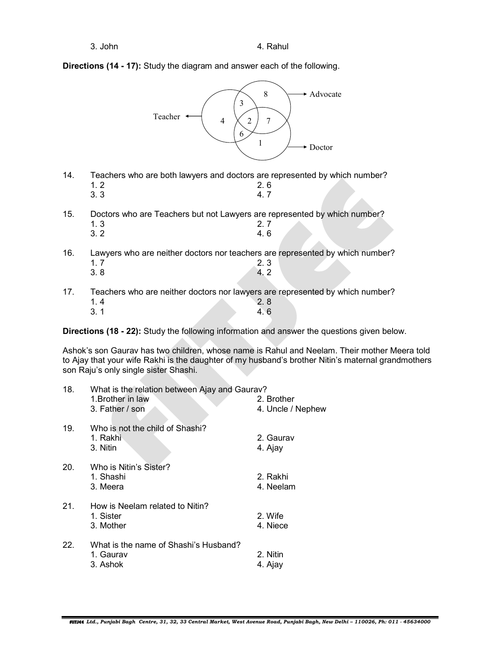Directions (14 - 17): Study the diagram and answer each of the following.



- 14. Teachers who are both lawyers and doctors are represented by which number?  $1.2$  2.6 3. 3 4. 7
- 15. Doctors who are Teachers but not Lawyers are represented by which number? 1. 3 2. 7
- $3.2$  4.6

16. Lawyers who are neither doctors nor teachers are represented by which number?  $1.7$  2. 3  $3.8$  4. 2

17. Teachers who are neither doctors nor lawyers are represented by which number?  $1.4$  2.8  $3.1$  4.6

Directions (18 - 22): Study the following information and answer the questions given below.

Ashok's son Gaurav has two children, whose name is Rahul and Neelam. Their mother Meera told to Ajay that your wife Rakhi is the daughter of my husband's brother Nitin's maternal grandmothers son Raju's only single sister Shashi.

| 18.             | What is the relation between Ajay and Gaurav?<br>1. Brother in law | 2. Brother            |
|-----------------|--------------------------------------------------------------------|-----------------------|
|                 | 3. Father / son                                                    | 4. Uncle / Nephew     |
| 19 <sub>1</sub> | Who is not the child of Shashi?<br>1. Rakhi<br>3. Nitin            | 2. Gaurav<br>4. Ajay  |
| 20.             | Who is Nitin's Sister?<br>1. Shashi<br>3. Meera                    | 2. Rakhi<br>4. Neelam |
| 21.             | How is Neelam related to Nitin?<br>1. Sister<br>3. Mother          | 2. Wife<br>4. Niece   |
| 22.             | What is the name of Shashi's Husband?<br>1. Gaurav<br>3. Ashok     | 2. Nitin<br>4. Ajay   |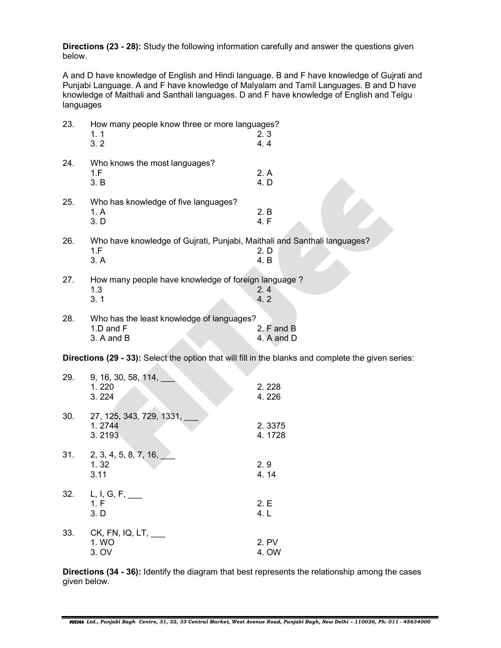Directions (23 - 28): Study the following information carefully and answer the questions given below.

A and D have knowledge of English and Hindi language. B and F have knowledge of Gujrati and Punjabi Language. A and F have knowledge of Malyalam and Tamil Languages. B and D have knowledge of Maithali and Santhali languages. D and F have knowledge of English and Telgu languages

| 23. | How many people know three or more languages?<br>1.1<br>3.2                                         | 2.3<br>4.4               |
|-----|-----------------------------------------------------------------------------------------------------|--------------------------|
| 24. | Who knows the most languages?<br>1.F<br>3. B                                                        | 2. A<br>4. D             |
| 25. | Who has knowledge of five languages?<br>1. A<br>3. D                                                | 2. B<br>4. F             |
| 26. | Who have knowledge of Gujrati, Punjabi, Maithali and Santhali languages?<br>1.F<br>3. A             | 2. D<br>4. B             |
| 27. | How many people have knowledge of foreign language?<br>1.3<br>3.1                                   | 2.4<br>4.2               |
| 28. | Who has the least knowledge of languages?<br>1.D and F<br>3. A and B                                | 2. F and B<br>4. A and D |
|     | Directions (29 - 33): Select the option that will fill in the blanks and complete the given series: |                          |
| 29. | 9, 16, 30, 58, 114,<br>1.220<br>3.224                                                               | 2.228<br>4.226           |
| 30. | 27, 125, 343, 729, 1331,<br>1.2744                                                                  | 2.3375                   |

31. 2, 3, 4, 5, 8, 7, 16, \_\_\_  $1.32$  2.9  $3.11$  4. 14 32. L, I, G, F, \_\_\_  $1. F$  2. E  $3. D$  4. L 33. CK, FN, IQ, LT, \_\_\_ 1. WO 2. PV 2. PV 2. PV 2. PV 2. PV 2. PV 2. PV 2. PV 2. PV 2. PV 2. PV 2. PV 2. PV 2. PV 2. PV 2. PV 2. PV 2. PV 2. PV 2. PV 2. PV 2. PV 2. PV 2. PV 2. PV 2. PV 2. PV 2. PV 2. PV 2. PV 2. PV 2. PV 2. PV 2. PV 2. PV 2. PV 3. OV 4. OW

3. 2193 4. 1728

Directions (34 - 36): Identify the diagram that best represents the relationship among the cases given below.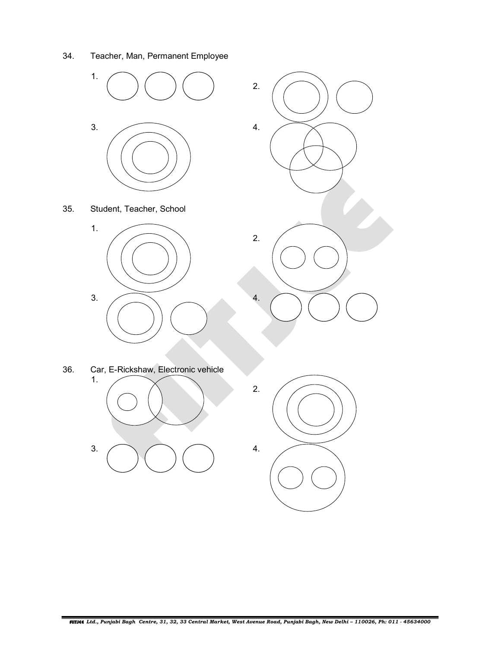34. Teacher, Man, Permanent Employee

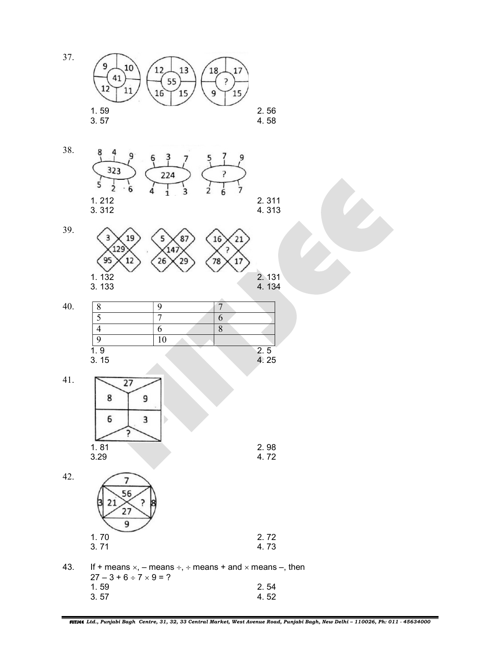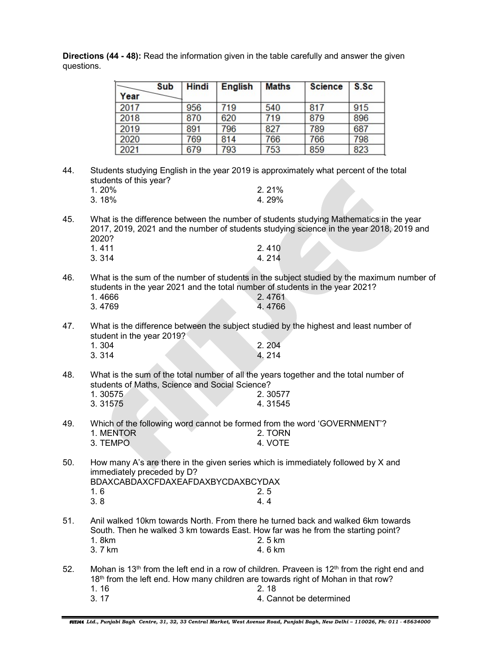|     |                         | Sub<br>Year                                                                                                                                                                                                           | <b>Hindi</b> | <b>English</b> | Maths              | <b>Science</b>          | S.Sc |  |
|-----|-------------------------|-----------------------------------------------------------------------------------------------------------------------------------------------------------------------------------------------------------------------|--------------|----------------|--------------------|-------------------------|------|--|
|     |                         | 2017                                                                                                                                                                                                                  | 956          | 719            | 540                | 817                     | 915  |  |
|     |                         | 2018                                                                                                                                                                                                                  | 870          | 620            | 719                | 879                     | 896  |  |
|     |                         | 2019                                                                                                                                                                                                                  | 891          | 796            | 827                | 789                     | 687  |  |
|     |                         | 2020                                                                                                                                                                                                                  | 769          | 814            | 766                | 766                     | 798  |  |
|     |                         | 2021                                                                                                                                                                                                                  | 679          | 793            | 753                | 859                     | 823  |  |
| 44. | 1.20%<br>3.18%          | Students studying English in the year 2019 is approximately what percent of the total<br>students of this year?                                                                                                       |              |                | 2.21%<br>4.29%     |                         |      |  |
| 45. | 2020?<br>1.411<br>3.314 | What is the difference between the number of students studying Mathematics in the year<br>2017, 2019, 2021 and the number of students studying science in the year 2018, 2019 and                                     |              |                | 2.410<br>4.214     |                         |      |  |
| 46. | 1.4666<br>3.4769        | What is the sum of the number of students in the subject studied by the maximum number of<br>students in the year 2021 and the total number of students in the year 2021?                                             |              |                | 2.4761<br>4.4766   |                         |      |  |
| 47. | 1.304<br>3.314          | What is the difference between the subject studied by the highest and least number of<br>student in the year 2019?                                                                                                    |              |                | 2.204<br>4.214     |                         |      |  |
| 48. | 1.30575<br>3.31575      | What is the sum of the total number of all the years together and the total number of<br>students of Maths, Science and Social Science?                                                                               |              |                | 2.30577<br>4.31545 |                         |      |  |
| 49. | 1. MENTOR<br>3. TEMPO   | Which of the following word cannot be formed from the word 'GOVERNMENT'?                                                                                                                                              |              |                | 2. TORN<br>4. VOTE |                         |      |  |
| 50. | 1.6<br>3.8              | How many A's are there in the given series which is immediately followed by X and<br>immediately preceded by D?<br>BDAXCABDAXCFDAXEAFDAXBYCDAXBCYDAX                                                                  |              |                | 2.5<br>4.4         |                         |      |  |
| 51. | 1.8km<br>3.7 km         | Anil walked 10km towards North. From there he turned back and walked 6km towards<br>South. Then he walked 3 km towards East. How far was he from the starting point?                                                  |              |                | 2.5 km<br>4.6 km   |                         |      |  |
| 52. | 1.16<br>3.17            | Mohan is 13 <sup>th</sup> from the left end in a row of children. Praveen is 12 <sup>th</sup> from the right end and<br>18 <sup>th</sup> from the left end. How many children are towards right of Mohan in that row? |              |                | 2.18               | 4. Cannot be determined |      |  |

Directions (44 - 48): Read the information given in the table carefully and answer the given questions.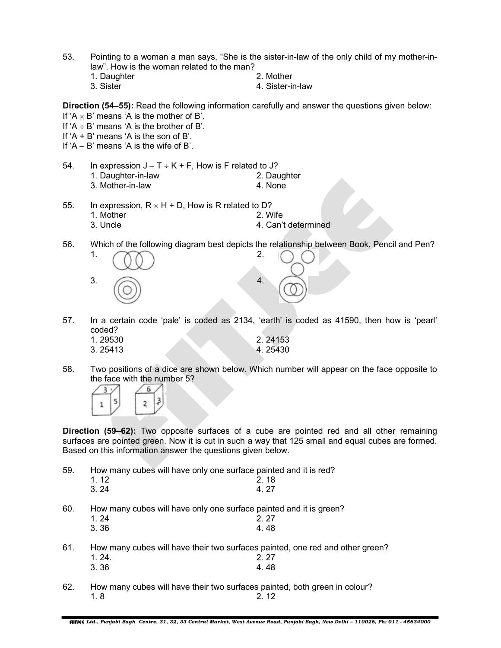- 53. Pointing to a woman a man says, "She is the sister-in-law of the only child of my mother-inlaw". How is the woman related to the man?
	- 1. Daughter 2. Mother 2. Mother<br>3. Sister 4. Sister-ii 4. Sister-in-law

Direction (54–55): Read the following information carefully and answer the questions given below: If ' $A \times B$ ' means 'A is the mother of B'.

- If  $'A \div B'$  means 'A is the brother of B'.
- If  $'A + B'$  means  $'A$  is the son of B'.
- If 'A B' means 'A is the wife of B'.
- 54. In expression  $J T \div K + F$ , How is F related to J? 1. Daughter-in-law 2. Daughter 3. Mother-in-law 4. None
- 55. In expression,  $R \times H + D$ , How is R related to D?
	- 1. Mother 2. Wife
		- 3. Uncle **4. Can't determined**
- 56. Which of the following diagram best depicts the relationship between Book, Pencil and Pen?



57. In a certain code 'pale' is coded as 2134, 'earth' is coded as 41590, then how is 'pearl' coded?

| 1.29530 | 2.24153 |
|---------|---------|
| 3.25413 | 4.25430 |

58. Two positions of a dice are shown below. Which number will appear on the face opposite to the face with the number 5?



Direction (59–62): Two opposite surfaces of a cube are pointed red and all other remaining surfaces are pointed green. Now it is cut in such a way that 125 small and equal cubes are formed. Based on this information answer the questions given below.

59. How many cubes will have only one surface painted and it is red?

| 1 1 2 | 2.18 |
|-------|------|
| 3.24  | 4.27 |

60. How many cubes will have only one surface painted and it is green?

- 1. 24 2. 27  $3.36$  4.48
- 61. How many cubes will have their two surfaces painted, one red and other green? 1. 24. 2. 27
- 3. 36 4. 48
- 62. How many cubes will have their two surfaces painted, both green in colour? 1. 8 2. 12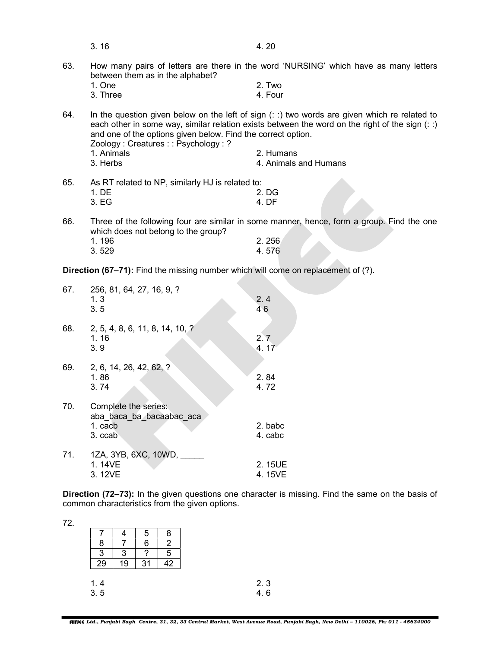|     | 3.16                                                                                               | 4.20                                                                                                                                                                                               |
|-----|----------------------------------------------------------------------------------------------------|----------------------------------------------------------------------------------------------------------------------------------------------------------------------------------------------------|
| 63. | between them as in the alphabet?                                                                   | How many pairs of letters are there in the word 'NURSING' which have as many letters                                                                                                               |
|     | 1. One                                                                                             | 2. Two                                                                                                                                                                                             |
|     | 3. Three                                                                                           | 4. Four                                                                                                                                                                                            |
| 64. | and one of the options given below. Find the correct option.<br>Zoology: Creatures:: Psychology: ? | In the question given below on the left of sign $(::)$ two words are given which re related to<br>each other in some way, similar relation exists between the word on the right of the sign $(::)$ |
|     | 1. Animals                                                                                         | 2. Humans                                                                                                                                                                                          |
|     | 3. Herbs                                                                                           | 4. Animals and Humans                                                                                                                                                                              |
| 65. | As RT related to NP, similarly HJ is related to:                                                   |                                                                                                                                                                                                    |
|     | 1. DE                                                                                              | 2. DG                                                                                                                                                                                              |
|     | 3. EG                                                                                              | 4. DF                                                                                                                                                                                              |
| 66. | which does not belong to the group?                                                                | Three of the following four are similar in some manner, hence, form a group. Find the one                                                                                                          |
|     | 1 196                                                                                              | 2.256                                                                                                                                                                                              |

| 1.196 | 2.256 |
|-------|-------|
| 3.529 | 4.576 |

Direction (67-71): Find the missing number which will come on replacement of (?).

| 67. | 256, 81, 64, 27, 16, 9, ?<br>1.3<br>3.5                                | 2.4<br>46          |
|-----|------------------------------------------------------------------------|--------------------|
| 68. | 2, 5, 4, 8, 6, 11, 8, 14, 10, ?<br>1.16<br>3.9                         | 2.7<br>4.17        |
| 69. | 2, 6, 14, 26, 42, 62, ?<br>1.86<br>3.74                                | 2.84<br>4.72       |
| 70. | Complete the series:<br>aba baca ba bacaabac aca<br>1. cacb<br>3. ccab | 2. babc<br>4. cabc |
| 71. | 1ZA, 3YB, 6XC, 10WD,<br>1.14VE<br>3.12VE                               | 2.15UE<br>4. 15VE  |

**Direction (72–73):** In the given questions one character is missing. Find the same on the basis of common characteristics from the given options.

| v.  |  |
|-----|--|
| . . |  |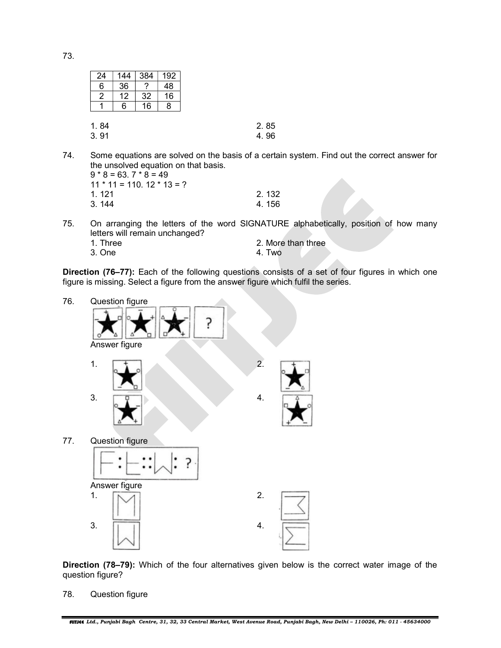73.

| 24           | 144 | 384 | 192 |  |              |
|--------------|-----|-----|-----|--|--------------|
| 6            | 36  | ?   | 48  |  |              |
| 2            | 12  | 32  | 16  |  |              |
|              | 6   | 16  | 8   |  |              |
|              |     |     |     |  |              |
|              |     |     |     |  |              |
|              |     |     |     |  |              |
| 1.84<br>3.91 |     |     |     |  | 2.85<br>4.96 |

74. Some equations are solved on the basis of a certain system. Find out the correct answer for the unsolved equation on that basis.

| $9 * 8 = 63.7 * 8 = 49$         |       |
|---------------------------------|-------|
| $11 * 11 = 110$ , $12 * 13 = ?$ |       |
| 1 121                           | 2.132 |
| 3.144                           | 4.156 |

75. On arranging the letters of the word SIGNATURE alphabetically, position of how many letters will remain unchanged?

| 1. Three | 2. More than three |
|----------|--------------------|
| 3. One   | 4. Two             |

Direction (76–77): Each of the following questions consists of a set of four figures in which one figure is missing. Select a figure from the answer figure which fulfil the series.



Direction (78–79): Which of the four alternatives given below is the correct water image of the question figure?

78. Question figure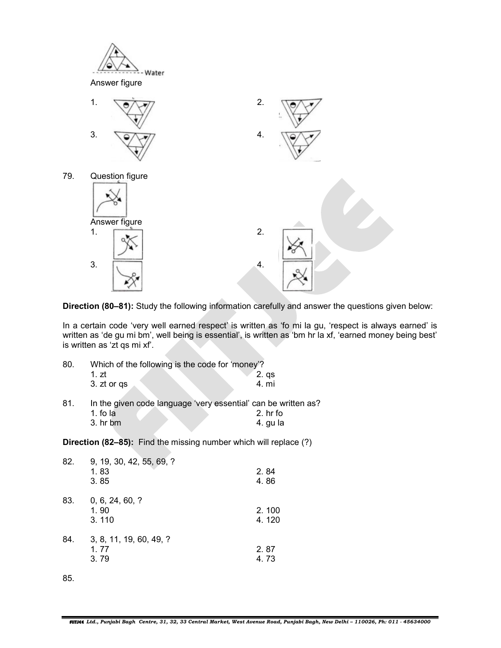

Direction (80–81): Study the following information carefully and answer the questions given below:

In a certain code 'very well earned respect' is written as 'fo mi la gu, 'respect is always earned' is written as 'de gu mi bm', well being is essential', is written as 'bm hr la xf, 'earned money being best' is written as 'zt qs mi xf'.

| 80. | Which of the following is the code for 'money'? |                                                                              |
|-----|-------------------------------------------------|------------------------------------------------------------------------------|
|     | 1.7t                                            | 2. qs                                                                        |
|     | 3. zt or qs                                     | 4. mi                                                                        |
| 81. | 1. fo la                                        | In the given code language 'very essential' can be written as?<br>$2.$ hr fo |
|     |                                                 |                                                                              |
|     | 3. hr bm                                        | 4. gu la                                                                     |

Direction (82–85): Find the missing number which will replace (?)

| 82. | 9, 19, 30, 42, 55, 69, ?<br>1.83<br>3.85 | 2.84<br>4.86   |
|-----|------------------------------------------|----------------|
| 83. | 0, 6, 24, 60, ?<br>1.90<br>3.110         | 2.100<br>4.120 |
| 84. | 3, 8, 11, 19, 60, 49, ?<br>1.77<br>3.79  | 2.87<br>4.73   |

85.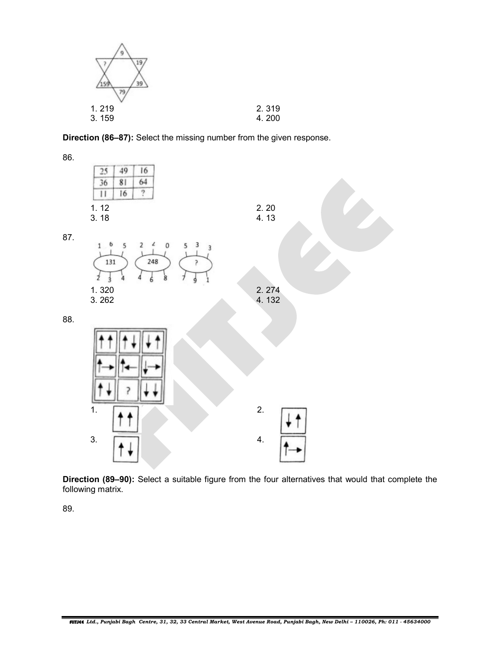| 39    |       |
|-------|-------|
| 1.219 | 2.319 |
| 3.159 | 4.200 |

Direction (86–87): Select the missing number from the given response.

86. 49 16 25 36 81 64  $\overline{11}$ 16 ò. 1. 12 2. 20  $3.18$  4.13 87. 6  $\epsilon$  $\mathbf{1}$ 5 2  $\circ$ 3 5  $\overline{3}$ 131 248 1. 320 2. 274<br>3. 262 4. 132 4. 132 88. 1.  $\Box$  $3. \qquad \qquad 4.$ 

Direction (89–90): Select a suitable figure from the four alternatives that would that complete the following matrix.

89.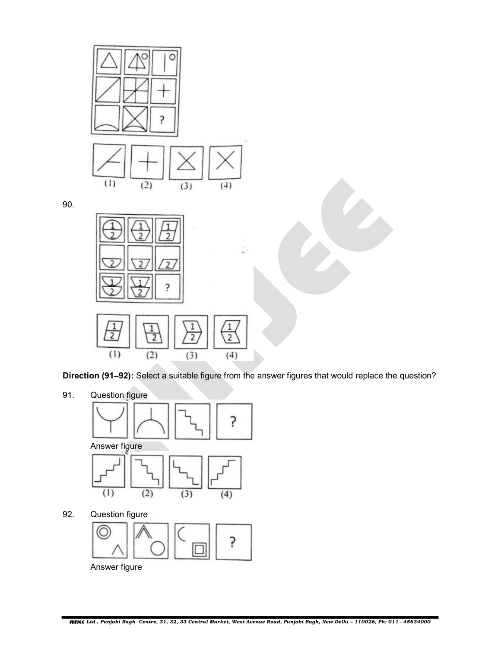

90.



Direction (91–92): Select a suitable figure from the answer figures that would replace the question?

91. Question figure



ς Answer figure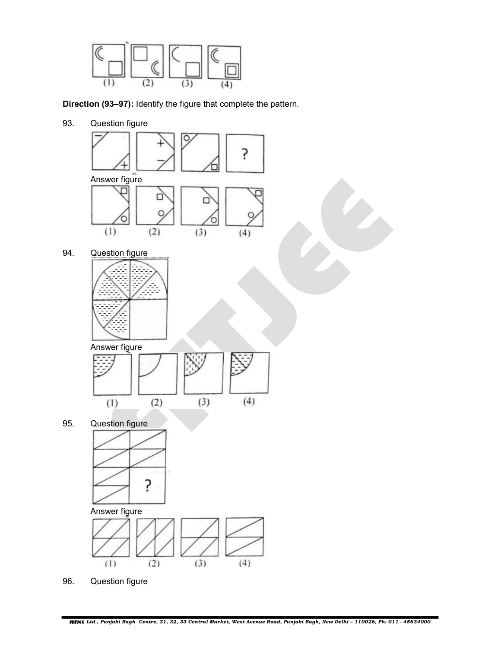

Direction (93–97): Identify the figure that complete the pattern.

93. Question figure



96. Question figure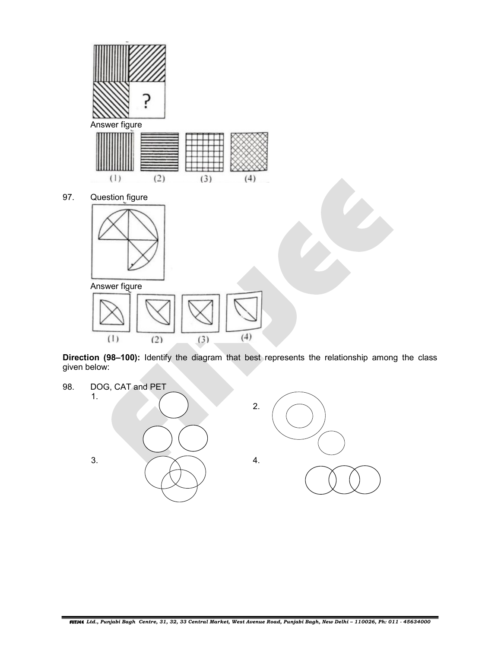

Direction (98-100): Identify the diagram that best represents the relationship among the class given below:

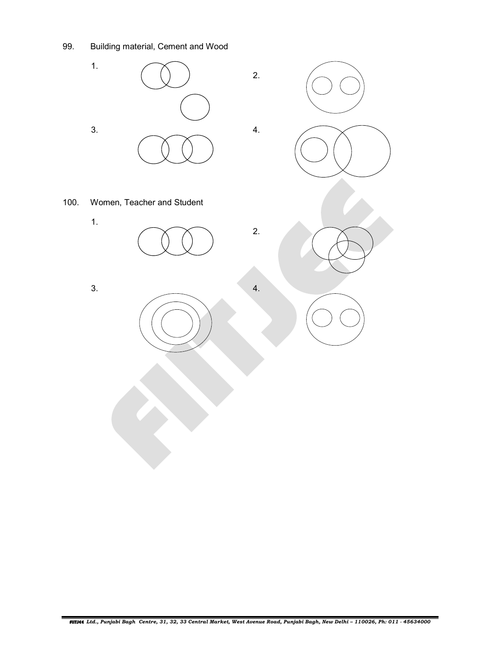99. Building material, Cement and Wood

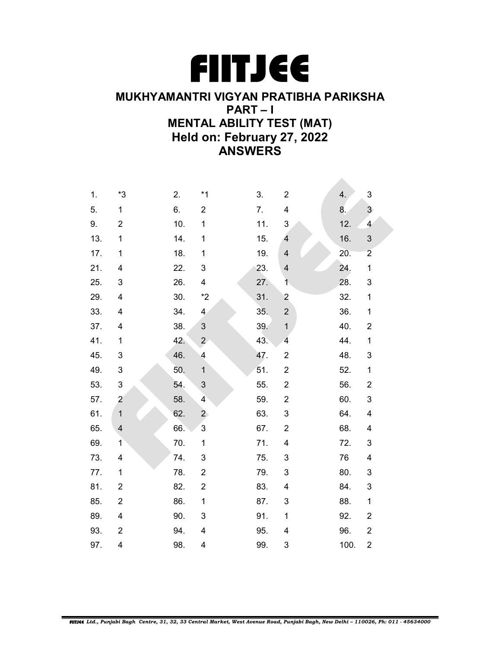

## MUKHYAMANTRI VIGYAN PRATIBHA PARIKSHA PART – I MENTAL ABILITY TEST (MAT) Held on: February 27, 2022 ANSWERS

| 1.  | *3                      | 2.  | $*1$                     | 3.  | $\overline{c}$          | 4.   | 3                       |
|-----|-------------------------|-----|--------------------------|-----|-------------------------|------|-------------------------|
| 5.  | $\mathbf{1}$            | 6.  | $\overline{c}$           | 7.  | 4                       | 8.   | $\overline{3}$          |
| 9.  | $\overline{c}$          | 10. | 1                        | 11. | 3                       | 12.  | $\overline{\mathbf{4}}$ |
| 13. | $\mathbf 1$             | 14. | 1                        | 15. | 4                       | 16.  | 3                       |
| 17. | $\mathbf 1$             | 18. | $\mathbf 1$              | 19. | $\overline{\mathbf{4}}$ | 20.  | $\overline{2}$          |
| 21. | 4                       | 22. | 3                        | 23. | $\overline{\mathbf{4}}$ | 24.  | $\mathbf{1}$            |
| 25. | 3                       | 26. | 4                        | 27. | $\overline{1}$          | 28.  | 3                       |
| 29. | $\overline{\mathbf{4}}$ | 30. | $*2$                     | 31. | $\overline{\mathbf{c}}$ | 32.  | $\mathbf 1$             |
| 33. | 4                       | 34. | $\overline{\mathbf{4}}$  | 35. | $\mathbf 2$             | 36.  | $\mathbf 1$             |
| 37. | $\overline{\mathbf{4}}$ | 38. | $\mathsf 3$              | 39. | $\mathbf{1}$            | 40.  | $\overline{\mathbf{c}}$ |
| 41. | $\mathbf{1}$            | 42. | $\overline{2}$           | 43. | $\overline{\mathbf{4}}$ | 44.  | $\mathbf 1$             |
| 45. | 3                       | 46. | $\overline{\mathcal{A}}$ | 47. | $\overline{\mathbf{c}}$ | 48.  | 3                       |
| 49. | 3                       | 50. | $\mathbf{1}$             | 51. | $\overline{2}$          | 52.  | $\mathbf 1$             |
| 53. | 3                       | 54. | 3                        | 55. | $\boldsymbol{2}$        | 56.  | $\overline{\mathbf{c}}$ |
| 57. | $\overline{c}$          | 58. | $\overline{\mathbf{4}}$  | 59. | $\overline{c}$          | 60.  | 3                       |
| 61. | $\mathbf{1}$            | 62. | $\overline{2}$           | 63. | 3                       | 64.  | $\overline{\mathbf{4}}$ |
| 65. | $\overline{\mathbf{4}}$ | 66. | $\mathbf{3}$             | 67. | $\overline{2}$          | 68.  | 4                       |
| 69. | $\mathbf{1}$            | 70. | $\mathbf{1}$             | 71. | 4                       | 72.  | 3                       |
| 73. | 4                       | 74. | 3                        | 75. | 3                       | 76   | 4                       |
| 77. | $\mathbf{1}$            | 78. | $\boldsymbol{2}$         | 79. | 3                       | 80.  | 3                       |
| 81. | $\overline{2}$          | 82. | $\overline{c}$           | 83. | 4                       | 84.  | 3                       |
| 85. | $\overline{2}$          | 86. | $\mathbf{1}$             | 87. | 3                       | 88.  | $\mathbf 1$             |
| 89. | $\overline{\mathbf{4}}$ | 90. | 3                        | 91. | $\mathbf 1$             | 92.  | $\overline{\mathbf{c}}$ |
| 93. | $\boldsymbol{2}$        | 94. | 4                        | 95. | 4                       | 96.  | $\overline{\mathbf{c}}$ |
| 97. | 4                       | 98. | 4                        | 99. | 3                       | 100. | $\overline{\mathbf{c}}$ |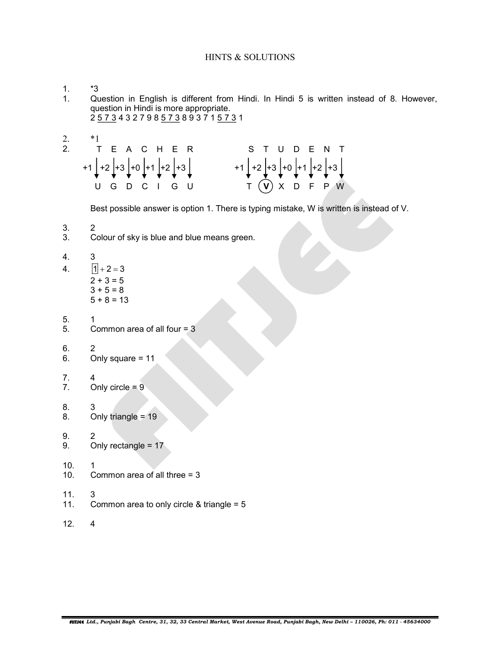## HINTS & SOLUTIONS

1.  $*3$ <br>1. Qu

- Question in English is different from Hindi. In Hindi 5 is written instead of 8. However, question in Hindi is more appropriate. 2 5 7 3 4 3 2 7 9 8 5 7 3 8 9 3 7 1 5 7 3 1
- 

| 2. |                                         |                                                |  |
|----|-----------------------------------------|------------------------------------------------|--|
|    | 2. TEACHER                              | S T U D E N T                                  |  |
|    | $+1$ +2 +3 +0 +1 +2 +3<br>U G D C I G U | $+1$ +2 +3 + 0 + 1 + 2 + 3<br>$T(V)$ X D F P W |  |

Best possible answer is option 1. There is typing mistake, W is written is instead of V.

- 3. 2
- 3. Colour of sky is blue and blue means green.
- 4. 3
- 4.  $\boxed{1} + 2 = 3$  $2 + 3 = 5$  $3 + 5 = 8$  $5 + 8 = 13$
- 5. 1
- 5. Common area of all four = 3
- 6. 2
- 6. Only square = 11
- 7. 4
- Only circle  $= 9$
- 8. 3
- 8. Only triangle = 19
- 9. 2<br>9. O
- Only rectangle =  $17$
- 10. 1
- 10. Common area of all three = 3
- 
- 11. 3<br>11. Co Common area to only circle & triangle =  $5$
- 12. 4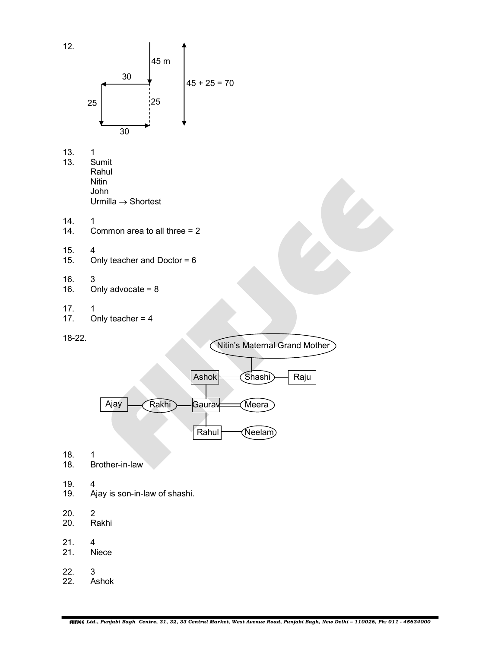

- 13. Sumit Rahul **Nitin**  John
	- Urmilla  $\rightarrow$  Shortest
- 
- 14.  $14.$  C Common area to all three  $= 2$
- 15. 4
- 15. Only teacher and Doctor = 6
- 16. 3
- 16. Only advocate =  $8$
- 17. 1
- 17. Only teacher =  $4$

18-22.





18. 1

- 18. Brother-in-law
- 19. 4
- 19. Ajay is son-in-law of shashi.
- $20.$  2<br> $20.$  R
- Rakhi
- 21. 4
- 21. Niece
- 22. 3
- 22. Ashok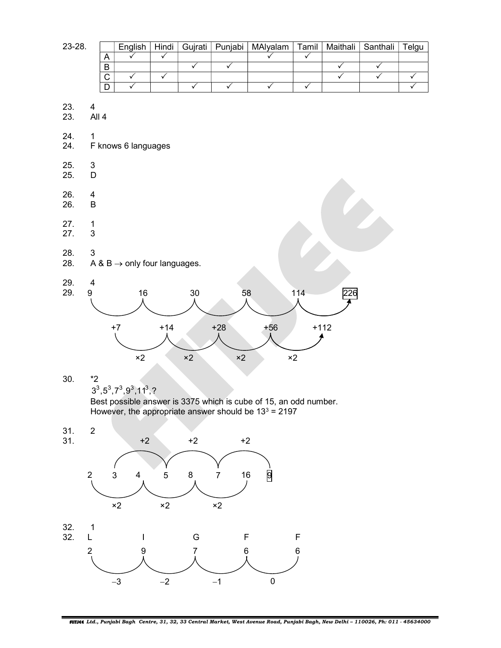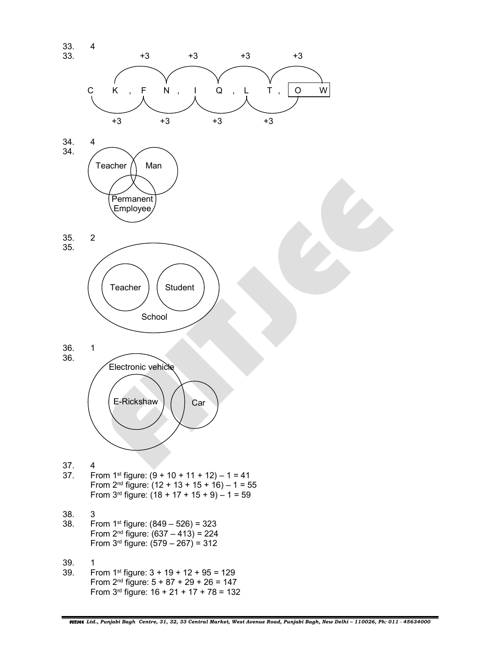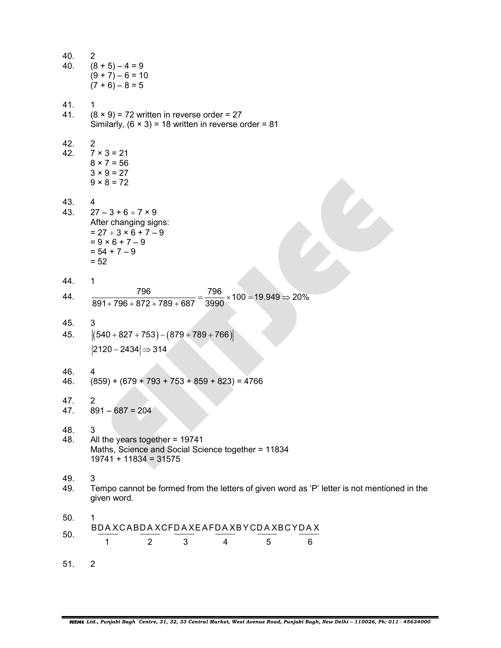| 40.<br>40. | 2<br>$(8 + 5) - 4 = 9$<br>$(9 + 7) - 6 = 10$<br>$(7 + 6) - 8 = 5$                                                                                  |
|------------|----------------------------------------------------------------------------------------------------------------------------------------------------|
| 41.<br>41. | 1<br>$(8 \times 9)$ = 72 written in reverse order = 27<br>Similarly, $(6 \times 3) = 18$ written in reverse order = 81                             |
| 42.<br>42. | 2<br>$7 × 3 = 21$<br>$8 × 7 = 56$<br>$3 × 9 = 27$<br>$9 \times 8 = 72$                                                                             |
| 43.<br>43. | 4<br>$27 - 3 + 6 \div 7 \times 9$<br>After changing signs:<br>$= 27 \div 3 \times 6 + 7 - 9$<br>$= 9 \times 6 + 7 - 9$<br>$= 54 + 7 - 9$<br>$= 52$ |
| 44.        | 1                                                                                                                                                  |
| 44.        | 796<br>796<br>$\times$ 100 = 19.949 $\Rightarrow$ 20%<br>$891+796+872+789+687$<br>3990                                                             |
| 45.<br>45. | 3<br>$[(540+827+753)-(879+789+766)]$<br>$ 2120 - 2434  \Rightarrow 314$                                                                            |
| 46.<br>46. | 4<br>$(859) + (679 + 793 + 753 + 859 + 823) = 4766$                                                                                                |
| 47.<br>47. | $\overline{2}$<br>$891 - 687 = 204$                                                                                                                |
| 48.<br>48. | 3<br>All the years together = 19741<br>Maths, Science and Social Science together = 11834<br>$19741 + 11834 = 31575$                               |
| 49.<br>49. | 3<br>Tempo cannot be formed from the letters of given word as 'P' letter is not mentioned in the<br>given word.                                    |
| 50.<br>50. | 1<br>BDAXCABDAXCFDAXEAFDAXBYCDAXBCYDAX<br>1<br>2<br>3<br>4<br>5<br>6                                                                               |
| 51.        | $\overline{2}$                                                                                                                                     |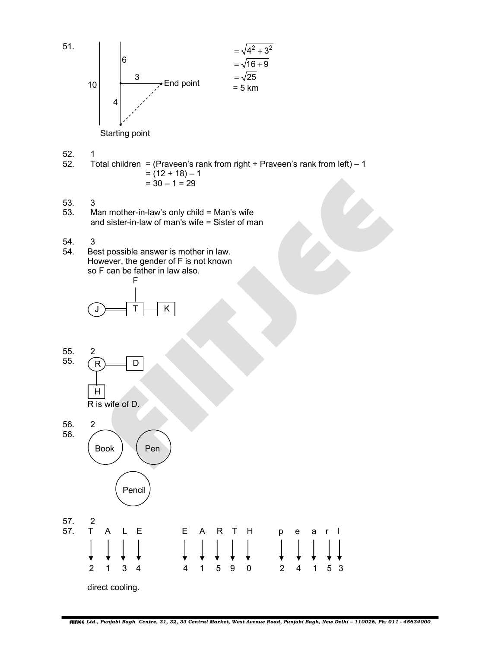

 $52.$  1<br>52. T Total children = (Praveen's rank from right + Praveen's rank from left)  $-1$  $= (12 + 18) - 1$  $= 30 - 1 = 29$ 

- 53. 3
- 53. Man mother-in-law's only child = Man's wife and sister-in-law of man's wife  $=$  Sister of man
- 54. 3
- 54. Best possible answer is mother in law. However, the gender of F is not known so F can be father in law also.



55. 2<br>55.  $\bigcap$  $\overline{55}$ .  $R = D$ 

H and the state of the state of the state of the state of the state of the state of the state of the state of R is wife of D.



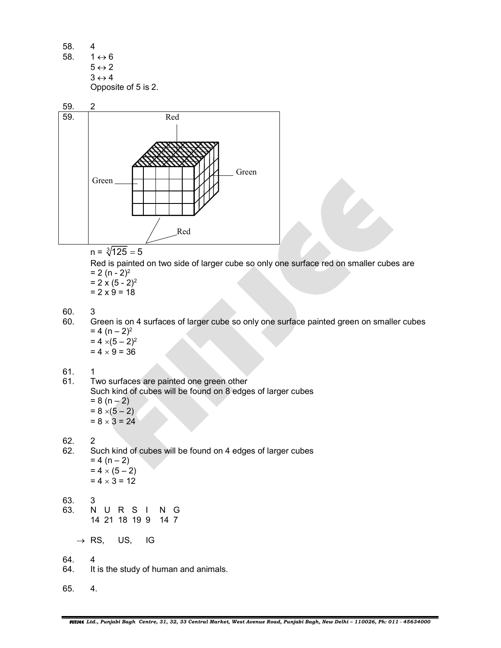58. 4 58.  $1 \leftrightarrow 6$  $5 \leftrightarrow 2$  $3 \leftrightarrow 4$ Opposite of 5 is 2.



 $n = \sqrt[3]{125} = 5$ 

Red is painted on two side of larger cube so only one surface red on smaller cubes are  $= 2 (n - 2)^2$ 

- $= 2 \times (5 2)^2$  $= 2 \times 9 = 18$
- 60. 3
- 60. Green is on 4 surfaces of larger cube so only one surface painted green on smaller cubes  $= 4 (n - 2)^2$  $= 4 \times (5 - 2)^2$

 $= 4 \times 9 = 36$ 

- 
- 61.  $1$ <br>61. T Two surfaces are painted one green other Such kind of cubes will be found on 8 edges of larger cubes  $= 8 (n - 2)$  $= 8 \times (5 - 2)$

 $= 8 \times 3 = 24$ 

62. 2

- 62. Such kind of cubes will be found on 4 edges of larger cubes  $= 4 (n - 2)$  $= 4 \times (5 - 2)$  $= 4 \times 3 = 12$
- 63. 3<br>63. N
	- 63. N U R S I N G 14 21 18 19 9 14 7

 $\rightarrow$  RS, US, IG

- 64. 4
- 64. It is the study of human and animals.
- 65. 4.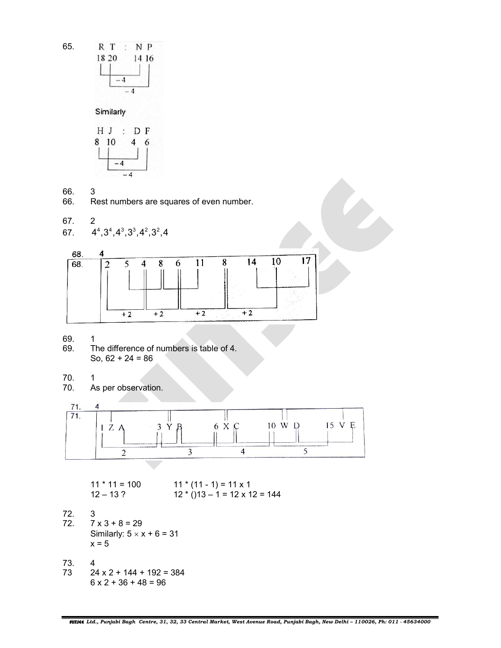

 $-4$ 

Similarly



- 66. 3
- 66. Rest numbers are squares of even number.

$$
67. \qquad 2
$$

67. 
$$
4^4, 3^4, 4^3, 3^3, 4^2, 3^2, 4
$$



69. 1

- 69. The difference of numbers is table of 4. So,  $62 + 24 = 86$
- 70. 1<br>70. A
- As per observation.



$$
11 * 11 = 100
$$
  
12 - 13 ?  
12 \* (11 - 1) = 11 x 1  
12 \* (13 - 1 = 12 x 12 = 144

72. 3  $7 \times 3 + 8 = 29$ Similarly:  $5 \times x + 6 = 31$  $x = 5$ 

73. 4  $24 \times 2 + 144 + 192 = 384$  $6 \times 2 + 36 + 48 = 96$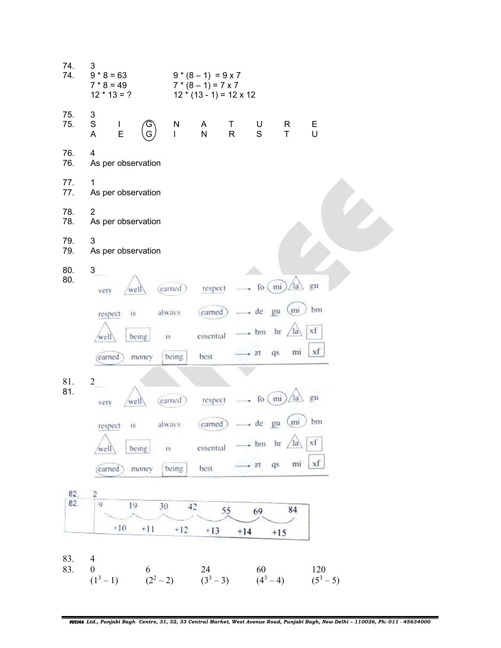| 74.<br>74. | 3<br>$9 * 8 = 63$<br>$7 * 8 = 49$<br>$12 * 13 = ?$     |                           | $9*(8-1) = 9 \times 7$<br>$7*(8-1)=7\times 7$<br>$12 * (13 - 1) = 12 \times 12$ |                                       |                       |                    |  |
|------------|--------------------------------------------------------|---------------------------|---------------------------------------------------------------------------------|---------------------------------------|-----------------------|--------------------|--|
| 75.<br>75. | 3<br>$\mathbf S$<br>$\mathsf{I}$<br>E<br>A             | N<br>G<br>L               | A<br>Τ<br>${\sf N}$<br>R                                                        | U<br>S                                | R<br>T.               | Е<br>U             |  |
| 76.<br>76. | 4<br>As per observation                                |                           |                                                                                 |                                       |                       |                    |  |
| 77.<br>77. | $\mathbf{1}$<br>As per observation                     |                           |                                                                                 |                                       |                       |                    |  |
| 78.<br>78. | $\overline{2}$<br>As per observation                   |                           |                                                                                 |                                       |                       |                    |  |
| 79.<br>79. | 3<br>As per observation                                |                           |                                                                                 |                                       |                       |                    |  |
| 80.<br>80. | 3<br>well<br>very                                      | (earned)                  | respect                                                                         | fo $(mi)$                             | <sup>1</sup> a        | gu                 |  |
|            | respect<br>1S.<br>being<br>well<br>money<br>earned     | always<br>is.<br>being    | (earned)<br>essential<br>best                                                   | de gu<br>$\bullet$ bm hr<br>$\div$ zt | (m)<br>la<br>mi<br>qs | bm<br>xf<br>xf     |  |
| 81.<br>81. | $\overline{c}$<br>well<br>very                         | (earned)                  | respect                                                                         | fo $(mi)$                             | la                    | gu                 |  |
|            | respect is<br>being<br>well                            | always<br>$\overline{15}$ | essential                                                                       | (earned) - de gu<br>- bm hr           | (mi)<br>$\sqrt{a}$    | bm<br>xf           |  |
|            | money<br>(earned)                                      | being                     | best                                                                            | $+ 71$                                | mi<br>qs              | xf                 |  |
| 82.        | $\overline{c}$                                         |                           |                                                                                 |                                       |                       |                    |  |
| 82.        | 9<br>19<br>$+10$                                       | 30                        | 42<br>55                                                                        | 69                                    | 84                    |                    |  |
|            | $+11$                                                  | $+12$                     | $+13$                                                                           | $+14$                                 | $+15$                 |                    |  |
| 83.<br>83. | $\overline{4}$<br>$\boldsymbol{0}$<br>6<br>$(1^3 - 1)$ | $(2^2-2)$                 | 24<br>$(3^3 - 3)$                                                               | 60<br>$(4^3 - 4)$                     |                       | 120<br>$(5^3 - 5)$ |  |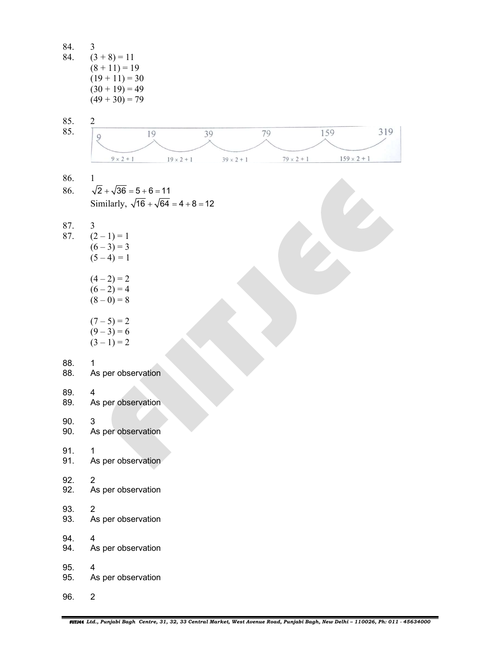84.  $3$ <br>84. (3  $(3 + 8) = 11$  $(8 + 11) = 19$  $(19 + 11) = 30$  $(30 + 19) = 49$  $(49 + 30) = 79$ 85. 2 85. 319 79 159 19 39  $\overline{9}$  $79 \times 2 + 1$  $159 \times 2 + 1$  $9 \times 2 + 1$  $19 \times 2 + 1$  $39 \times 2 + 1$ 86. 1 86.  $\sqrt{2} + \sqrt{36} = 5 + 6 = 11$ Similarly,  $\sqrt{16} + \sqrt{64} = 4 + 8 = 12$ 87. 3 87.  $(2-1) = 1$  $(6 - 3) = 3$  $(5 - 4) = 1$  $(4-2)=2$  $(6 - 2) = 4$  $(8-0) = 8$  $(7-5) = 2$  $(9-3)=6$  $(3-1)=2$ 88. 1 88. As per observation 89. 4<br>89. As As per observation 90. 3 90. As per observation 91. 1 91. As per observation 92. 2 92. As per observation 93. 2 93. As per observation 94. 4 94. As per observation 95. 4 95. As per observation 96. 2